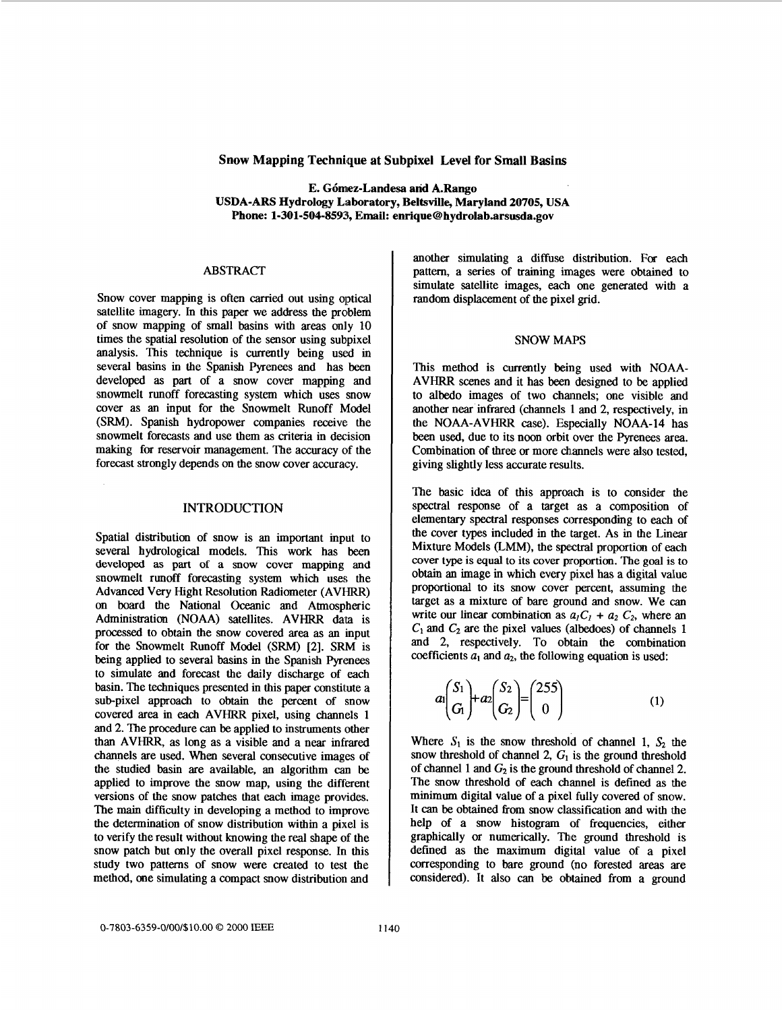# **Snow Mapping Technique at Subpixel Level for Small Basins**

**E. G6mez-Landesa and A.Rango USDA-ARS Hydrology Laboratory, Beltsville, Maryland 20705, USA Phone: 1-301-504-8593, Email: enrique[@ hydrolab.arsusda.gov](http://hydrolab.arsusda.gov)** 

## **ABSTRACT**

Snow cover mapping is often carried out using optical satellite imagery. In this paper we address the problem of snow mapping of small basins with areas only 10 times the spatial resolution of the sensor using subpixel analysis. This technique is currently being used in several basins in the Spanish Pyrenees and has been developed **as** part of a snow cover mapping and snowmelt runoff forecasting system which uses snow cover as an input for the Snowmelt Runoff Model (SRM). Spanish hydropower companies receive: the snowmelt forecasts and use them **as** criteria in decision making for reservoir management. The accuracy of the forecast strongly depends *on* the snow cover accuracy.

### INTRODUCTION

Spatial distribution of snow is an important input to several hydrological models. This work has been developed **as** part of a snow cover mapping and snowmelt runoff forecasting system which uses the Advanced Very Hight Resolution Radiometer (AVIIRR) *on* board the National Oceanic and Atmospheric Administration (NOAA) satellites. AVHRR **data** is processed to obtain the snow covered area **as** an input for the Snowmelt Runoff Model (SRM) **[2].** SRM is being applied to several basins in the Spanish Pyrenees to simulate and forecast the daily discharge of each basin. The techniques presented in this paper constitute a sub-pixel approach to obtain the percent of snow covered area in each AVHRR pixel, using channels 1 and 2. The procedure *can* be applied to instruments other than AVHRR, as long as a visible and a near infrared channels are used. When several consecutive images of the studied basin are available, an algorithm can be applied to improve the snow map, using the different versions of the snow patches that each image provides. The main difficulty in developing a method to improve the determination of snow distribution within a pixel is to verify the result without knowing the real shape of the snow patch but only the overall pixel response. In this study two patterns of snow were created to test the method, one simulating a compact **snow** distribution and

another simulating a diffuse distribution. For each pattern, a series of training images were obtained to simulate satellite images, each one generated with a random displacement of the pixel grid.

#### SNOW MAPS

This method is currently being used with NOAA-AVHRR scenes and it has been designed to be applied to albedo images of two channels; one visible and another near infrared (channels **1** and 2, respectively, in the NOAA-AVHRR case). Especially NOAA-14 has been used, due to its noon orbit over the Pyrenees area. Combination of three *or* more channels were also tested, giving slightly less accurate results.

The basic idea of this approach is to consider the spectral response of a target as a composition of elementary spectral responses corresponding to each of the cover types included in the target. As in the Linear Mixture Models (LMM), the spectral proportion of each cover **type is** equal to **its** cover proportion. The goal is to obtain an image in which every pixel **has** a digital value proportional to its snow cover percent, assuming the target as a mixture of bare ground and snow. We **can**  write our linear combination as  $a_1C_1 + a_2 C_2$ , where an  $C_1$  and  $C_2$  are the pixel values (albedoes) of channels 1 and 2, respectively. To obtain the combination coefficients  $a_1$  and  $a_2$ , the following equation is used:

$$
a\begin{pmatrix} S_1 \\ G_1 \end{pmatrix} + a_2 \begin{pmatrix} S_2 \\ G_2 \end{pmatrix} = \begin{pmatrix} 255 \\ 0 \end{pmatrix} \tag{1}
$$

Where  $S_1$  is the snow threshold of channel 1,  $S_2$  the snow threshold of channel 2,  $G<sub>1</sub>$  is the ground threshold of channel 1 and  $G_2$  is the ground threshold of channel 2. The snow threshold of each channel is defined as the minimum digital value of a pixel fully covered of snow. It *can* be obtained from snow classification and with the help of a snow histogram of frequencies, either graphically *or* numerically. The ground threshold is defined as the maximum digital value of a pixel corresponding to bare ground (no forested areas are considered). It also *can* be obtained from a ground

*0-7803-6359-01001\$10.00 0 2000* IEEE 1140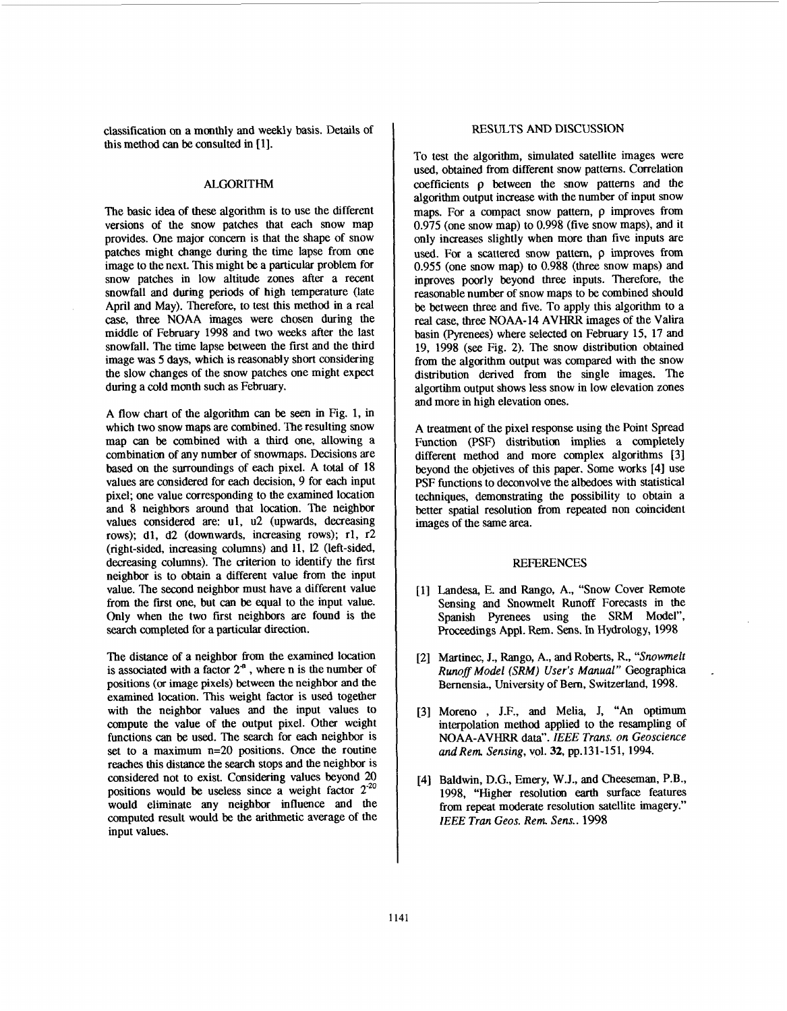classification *on* a monthly and weekly basis. Details of this method *can* be consulted in [ 11.

## ALGORITHM

The basic idea of these algorithm is to use the different versions of the snow patches that each snow map provides. One major concern is that the shape of snow patches might change during the time lapse from one image to the next. This might be a particular problem for snow patches in low altitude zones *after* a recent snowfall and during periods of high temperature (late April and May). Therefore, to test this method in a real *case.,* three NOAA **images** were chosen during the middle of February 1998 and two weeks after the last snowfall. The time lapse between the first and the third image was 5 days, which is reasonably short considering the slow changes of the snow patches one might expect during a cold month such **as** February.

A flow chart of the algorithm *can* be seen in Fig. 1, in which two snow maps are combined. The resulting snow map can be combined with a third one, allowing a combination of any number of snowmaps. Decisions are based on the surroundings of each pixel. A total of 18 values are considered for each decision, 9 for each input pixel; one value corresponding to the examined location and 8 neighbors around that location. The neighbor values considered are: ul, u2 (upwards, decreasing rows); dl, d2 (downwards, increasing rows); rl, r2 (right-sided, increasing columns) and 11, *12* (left-sided, decreasing columns). The criterion to identify the first neighbor is to obtain a different value **from** the input value. The second neighbor must have a different value from the first one, but *can* be equal to the input value. Only when the two first neighbors are found is the search completed for a particular direction.

The distance of a neighbor from the examined location is associated with a factor **2"** , where n is the number of positions *(or* image pixels) between the neighbor and the examined location. This weight factor is used together with the neighbor values and the input values to compute the value of the output pixel. Other weight functions can **be** used. The search for each neighbor is set to a maximum n=20 positions. Once the routine reaches this distance the search stops and the neighbor is considered not to exist. Considering values beyond 20 positions would be useless since a weight factor  $2^{20}$ would eliminate any neighbor influence and the computed result would be the arithmetic average of the input values.

### **RESULTS** AND DISCUSSION

To test the algorithm, simulated satellite images were used, obtained from different snow patterns. Correlation coefficients p between the snow patterns and the algorithm output increase with the number of input snow maps. For a compact snow pattern,  $\rho$  improves from 0.975 (one snow map) to 0.998 (five snow maps), and it only increases slightly when more than five inputs are used. For a scattered snow pattern,  $\rho$  improves from 0.955 (one snow map) to 0.988 (three snow maps) and inproves poorly beyond three inputs. Therefore, the reasonable number of snow maps to be combined should be between three and five. To apply this algorithm to a real case, three NOAA-14 AVHRR images of the Valira basin (Pyrenees) where selected on February 15, 17 and 19, 1998 *(see* Fig. 2). The snow distribution obtained from the algorithm output was compared with the snow distribution derived from the single images. The algortihm output shows less snow in low elevation zones and more in high elevation ones.

A treatment of the pixel response using the Point Spread Function **(PSF)** distribution implies a completely different method and more complex algorithms [3] beyond the objetives of this paper. Some works [4] use PSF functions to deconvolve the albedoes with statistical techniques, demonstrating the possibility to obtain a better spatial resolution from repeated non coincident images of the same area.

#### REFERENCES

- [l] Landesa, E. and Rango, A., "Snow Cover Remote Sensing and Snowmelt Runoff Forecasts in the Spanish Pyrenees using the SRM Model", Proceedings Appl. Rem. **Sens.** In Hydrology, 1998
- [2] Martinec, J., Rango, A., and Roberts, R., "Snowmelt *Runofl Model {SRM) User's Manual* '' Geographica Bemensia., University of **Bern,** Switzerland, 1998.
- [3] Moreno , J.F., and Melia, J, **"An** optimum interpolation method applied to the resampling of NOAA-AVHRR data". IEEE *Trans.* **on** *Geoscience and Rem. Sensing,* vol. *32,* pp.131-151, 1994.
- [4] Baldwin, D.G., Emery, W.J., and Cheeseman, P.B., 1998, "Higher resolution *earth* surface features from repeat moderate resolution satellite imagery." *lEEE Tran Geos. Rem Sens..* **1998**